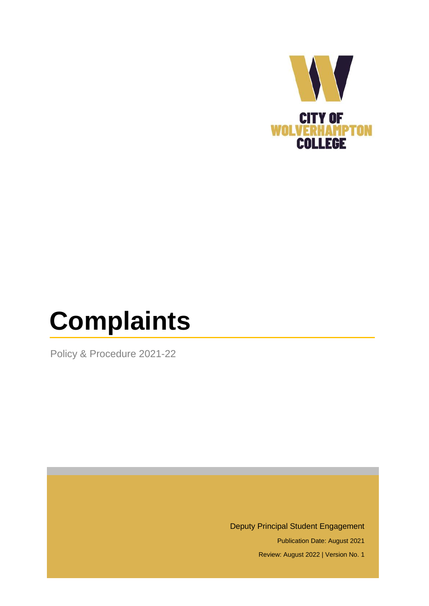

# **Complaints**

Policy & Procedure 2021-22

Deputy Principal Student Engagement

Publication Date: August 2021

Review: August 2022 | Version No. 1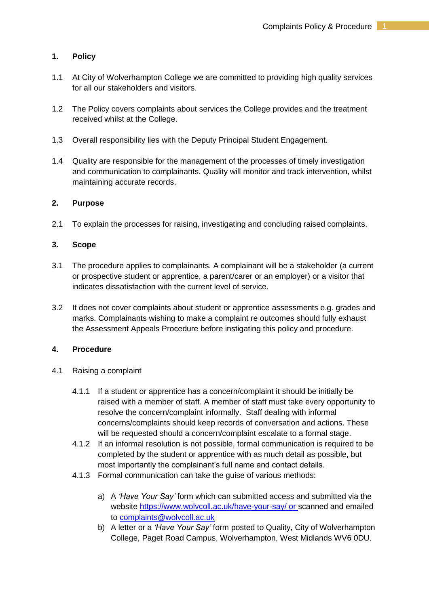# **1. Policy**

- 1.1 At City of Wolverhampton College we are committed to providing high quality services for all our stakeholders and visitors.
- 1.2 The Policy covers complaints about services the College provides and the treatment received whilst at the College.
- 1.3 Overall responsibility lies with the Deputy Principal Student Engagement.
- 1.4 Quality are responsible for the management of the processes of timely investigation and communication to complainants. Quality will monitor and track intervention, whilst maintaining accurate records.

### **2. Purpose**

2.1 To explain the processes for raising, investigating and concluding raised complaints.

## **3. Scope**

- 3.1 The procedure applies to complainants. A complainant will be a stakeholder (a current or prospective student or apprentice, a parent/carer or an employer) or a visitor that indicates dissatisfaction with the current level of service.
- 3.2 It does not cover complaints about student or apprentice assessments e.g. grades and marks. Complainants wishing to make a complaint re outcomes should fully exhaust the Assessment Appeals Procedure before instigating this policy and procedure.

#### **4. Procedure**

- 4.1 Raising a complaint
	- 4.1.1 If a student or apprentice has a concern/complaint it should be initially be raised with a member of staff. A member of staff must take every opportunity to resolve the concern/complaint informally. Staff dealing with informal concerns/complaints should keep records of conversation and actions. These will be requested should a concern/complaint escalate to a formal stage.
	- 4.1.2 If an informal resolution is not possible, formal communication is required to be completed by the student or apprentice with as much detail as possible, but most importantly the complainant's full name and contact details.
	- 4.1.3 Formal communication can take the guise of various methods:
		- a) A *'Have Your Say'* form which can submitted access and submitted via the website<https://www.wolvcoll.ac.uk/have-your-say/> or scanned and emailed to [complaints@wolvcoll.ac.uk](mailto:complaints@wolvcoll.ac.uk)
		- b) A letter or a *'Have Your Say'* form posted to Quality, City of Wolverhampton College, Paget Road Campus, Wolverhampton, West Midlands WV6 0DU.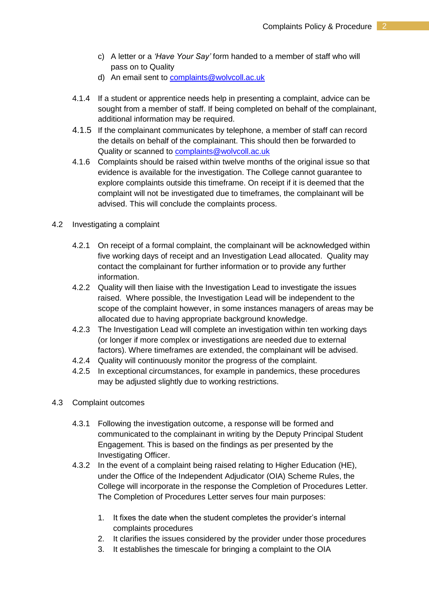- c) A letter or a *'Have Your Say'* form handed to a member of staff who will pass on to Quality
- d) An email sent to [complaints@wolvcoll.ac.uk](mailto:complaints@wolvcoll.ac.uk)
- 4.1.4 If a student or apprentice needs help in presenting a complaint, advice can be sought from a member of staff. If being completed on behalf of the complainant, additional information may be required.
- 4.1.5 If the complainant communicates by telephone, a member of staff can record the details on behalf of the complainant. This should then be forwarded to Quality or scanned to [complaints@wolvcoll.ac.uk](mailto:complaints@wolvcoll.ac.uk)
- 4.1.6 Complaints should be raised within twelve months of the original issue so that evidence is available for the investigation. The College cannot guarantee to explore complaints outside this timeframe. On receipt if it is deemed that the complaint will not be investigated due to timeframes, the complainant will be advised. This will conclude the complaints process.
- 4.2 Investigating a complaint
	- 4.2.1 On receipt of a formal complaint, the complainant will be acknowledged within five working days of receipt and an Investigation Lead allocated. Quality may contact the complainant for further information or to provide any further information.
	- 4.2.2 Quality will then liaise with the Investigation Lead to investigate the issues raised. Where possible, the Investigation Lead will be independent to the scope of the complaint however, in some instances managers of areas may be allocated due to having appropriate background knowledge.
	- 4.2.3 The Investigation Lead will complete an investigation within ten working days (or longer if more complex or investigations are needed due to external factors). Where timeframes are extended, the complainant will be advised.
	- 4.2.4 Quality will continuously monitor the progress of the complaint.
	- 4.2.5 In exceptional circumstances, for example in pandemics, these procedures may be adjusted slightly due to working restrictions.
- 4.3 Complaint outcomes
	- 4.3.1 Following the investigation outcome, a response will be formed and communicated to the complainant in writing by the Deputy Principal Student Engagement. This is based on the findings as per presented by the Investigating Officer.
	- 4.3.2 In the event of a complaint being raised relating to Higher Education (HE), under the Office of the Independent Adjudicator (OIA) Scheme Rules, the College will incorporate in the response the Completion of Procedures Letter. The Completion of Procedures Letter serves four main purposes:
		- 1. It fixes the date when the student completes the provider's internal complaints procedures
		- 2. It clarifies the issues considered by the provider under those procedures
		- 3. It establishes the timescale for bringing a complaint to the OIA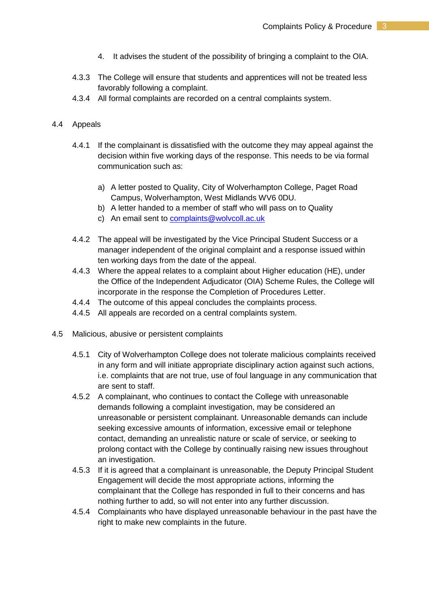- 4. It advises the student of the possibility of bringing a complaint to the OIA.
- 4.3.3 The College will ensure that students and apprentices will not be treated less favorably following a complaint.
- 4.3.4 All formal complaints are recorded on a central complaints system.

#### 4.4 Appeals

- 4.4.1 If the complainant is dissatisfied with the outcome they may appeal against the decision within five working days of the response. This needs to be via formal communication such as:
	- a) A letter posted to Quality, City of Wolverhampton College, Paget Road Campus, Wolverhampton, West Midlands WV6 0DU.
	- b) A letter handed to a member of staff who will pass on to Quality
	- c) An email sent to **complaints@wolvcoll**.ac.uk
- 4.4.2 The appeal will be investigated by the Vice Principal Student Success or a manager independent of the original complaint and a response issued within ten working days from the date of the appeal.
- 4.4.3 Where the appeal relates to a complaint about Higher education (HE), under the Office of the Independent Adjudicator (OIA) Scheme Rules, the College will incorporate in the response the Completion of Procedures Letter.
- 4.4.4 The outcome of this appeal concludes the complaints process.
- 4.4.5 All appeals are recorded on a central complaints system.
- 4.5 Malicious, abusive or persistent complaints
	- 4.5.1 City of Wolverhampton College does not tolerate malicious complaints received in any form and will initiate appropriate disciplinary action against such actions, i.e. complaints that are not true, use of foul language in any communication that are sent to staff.
	- 4.5.2 A complainant, who continues to contact the College with unreasonable demands following a complaint investigation, may be considered an unreasonable or persistent complainant. Unreasonable demands can include seeking excessive amounts of information, excessive email or telephone contact, demanding an unrealistic nature or scale of service, or seeking to prolong contact with the College by continually raising new issues throughout an investigation.
	- 4.5.3 If it is agreed that a complainant is unreasonable, the Deputy Principal Student Engagement will decide the most appropriate actions, informing the complainant that the College has responded in full to their concerns and has nothing further to add, so will not enter into any further discussion.
	- 4.5.4 Complainants who have displayed unreasonable behaviour in the past have the right to make new complaints in the future.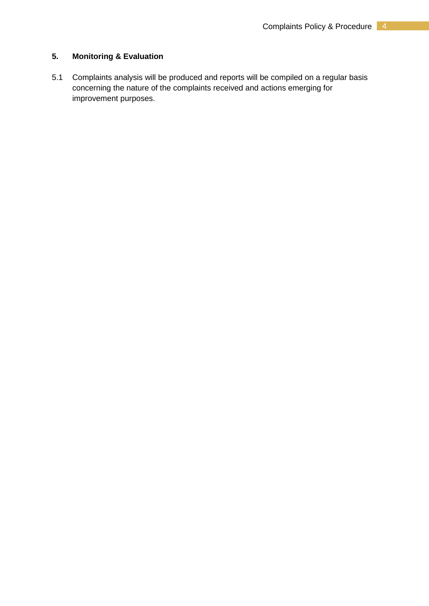# **5. Monitoring & Evaluation**

5.1 Complaints analysis will be produced and reports will be compiled on a regular basis concerning the nature of the complaints received and actions emerging for improvement purposes.